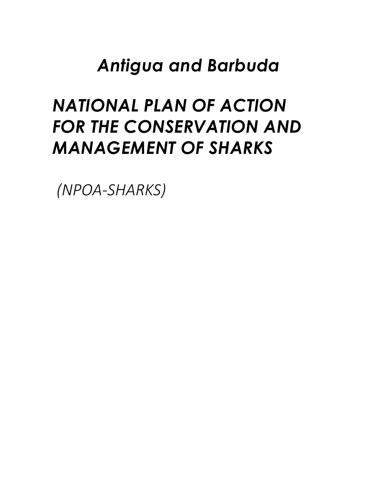# *Antigua and Barbuda*

# *NATIONAL PLAN OF ACTION FOR THE CONSERVATION AND MANAGEMENT OF SHARKS*

*(NPOA-SHARKS)*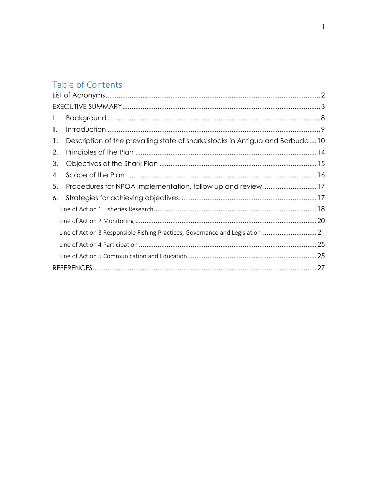## Table of Contents

| $\mathsf{L}$   |                                                                               |
|----------------|-------------------------------------------------------------------------------|
| Ⅱ.             |                                                                               |
| $\mathbf{1}$ . | Description of the prevailing state of sharks stocks in Antigua and Barbuda10 |
| 2.             |                                                                               |
| 3.             |                                                                               |
| 4.             |                                                                               |
| 5.             |                                                                               |
| 6.             |                                                                               |
|                |                                                                               |
|                |                                                                               |
|                | Line of Action 3 Responsible Fishing Practices, Governance and Legislation21  |
|                |                                                                               |
|                |                                                                               |
|                |                                                                               |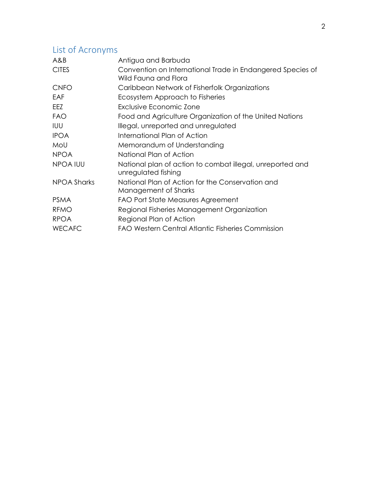## List of Acronyms

| A&B                | Antigua and Barbuda                                                                |
|--------------------|------------------------------------------------------------------------------------|
| <b>CITES</b>       | Convention on International Trade in Endangered Species of<br>Wild Fauna and Flora |
| <b>CNFO</b>        | Caribbean Network of Fisherfolk Organizations                                      |
| EAF                | Ecosystem Approach to Fisheries                                                    |
| EEZ                | Exclusive Economic Zone                                                            |
| <b>FAO</b>         | Food and Agriculture Organization of the United Nations                            |
| <b>IUU</b>         | Illegal, unreported and unregulated                                                |
| <b>IPOA</b>        | International Plan of Action                                                       |
| MoU                | Memorandum of Understanding                                                        |
| <b>NPOA</b>        | National Plan of Action                                                            |
| NPOA IUU           | National plan of action to combat illegal, unreported and<br>unregulated fishing   |
| <b>NPOA Sharks</b> | National Plan of Action for the Conservation and<br>Management of Sharks           |
| <b>PSMA</b>        | FAO Port State Measures Agreement                                                  |
| <b>RFMO</b>        | Regional Fisheries Management Organization                                         |
| <b>RPOA</b>        | Regional Plan of Action                                                            |
| <b>WECAFC</b>      | <b>FAO Western Central Atlantic Fisheries Commission</b>                           |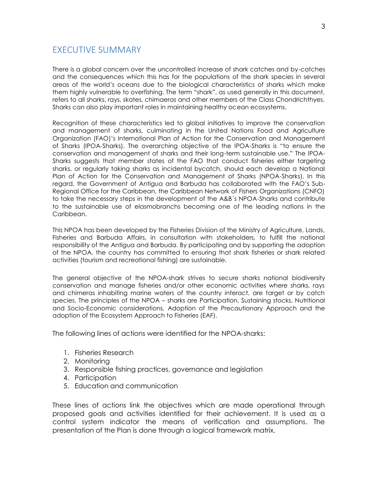#### EXECUTIVE SUMMARY

There is a global concern over the uncontrolled increase of shark catches and by-catches and the consequences which this has for the populations of the shark species in several areas of the world's oceans due to the biological characteristics of sharks which make them highly vulnerable to overfishing. The term "shark", as used generally in this document, refers to all sharks, rays, skates, chimaeras and other members of the Class Chondrichthyes. Sharks can also play important roles in maintaining healthy ocean ecosystems.

Recognition of these characteristics led to global initiatives to improve the conservation and management of sharks, culminating in the United Nations Food and Agriculture Organization (FAO)'s International Plan of Action for the Conservation and Management of Sharks (IPOA-Sharks). The overarching objective of the IPOA-Sharks is "to ensure the conservation and management of sharks and their long-term sustainable use." The IPOA- Sharks suggests that member states of the FAO that conduct fisheries either targeting sharks, or regularly taking sharks as incidental bycatch, should each develop a National Plan of Action for the Conservation and Management of Sharks (NPOA-Sharks). In this regard, the Government of Antigua and Barbuda has collaborated with the FAO's Sub- Regional Office for the Caribbean, the Caribbean Network of Fishers Organizations (CNFO) to take the necessary steps in the development of the A&B´s NPOA-Sharks and contribute to the sustainable use of elasmobranchs becoming one of the leading nations in the Caribbean.

This NPOA has been developed by the Fisheries Division of the Ministry of Agriculture, Lands, Fisheries and Barbuda Affairs, in consultation with stakeholders, to fulfill the national responsibility of the Antigua and Barbuda. By participating and by supporting the adoption of the NPOA, the country has committed to ensuring that shark fisheries or shark related activities (tourism and recreational fishing) are sustainable.

The general objective of the NPOA-shark strives to secure sharks national biodiversity conservation and manage fisheries and/or other economic activities where sharks, rays and chimeras inhabiting marine waters of the country interact, are target or by catch species. The principles of the NPOA – sharks are Participation, Sustaining stocks, Nutritional and Socio-Economic considerations, Adoption of the Precautionary Approach and the adoption of the Ecosystem Approach to Fisheries (EAF).

The following lines of actions were identified for the NPOA-sharks:

- 1. Fisheries Research
- 2. Monitoring
- 3. Responsible fishing practices, governance and legislation
- 4. Participation
- 5. Education and communication

These lines of actions link the objectives which are made operational through proposed goals and activities identified for their achievement. It is used as a control system indicator the means of verification and assumptions. The presentation of the Plan is done through a logical framework matrix.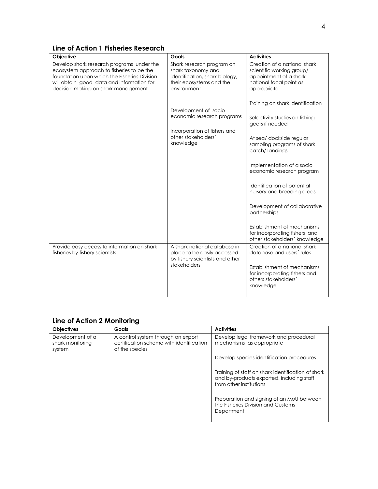| Line of Action 1 Fisheries Research |  |  |
|-------------------------------------|--|--|
|-------------------------------------|--|--|

| <b>Objective</b>                                                                                                                                                                                                           | Goals                                                                                                                        | <b>Activities</b>                                                                                                                                                                                                                                                    |
|----------------------------------------------------------------------------------------------------------------------------------------------------------------------------------------------------------------------------|------------------------------------------------------------------------------------------------------------------------------|----------------------------------------------------------------------------------------------------------------------------------------------------------------------------------------------------------------------------------------------------------------------|
| Develop shark research programs under the<br>ecosystem approach to fisheries to be the<br>foundation upon which the Fisheries Division<br>will obtain good data and information for<br>decision making on shark management | Shark research program on<br>shark taxonomy and<br>identification, shark biology,<br>their ecosystems and the<br>environment | Creation of a national shark<br>scientific working group/<br>appointment of a shark<br>national focal point as<br>appropriate                                                                                                                                        |
|                                                                                                                                                                                                                            | Development of socio<br>economic research programs<br>Incorporation of fishers and<br>other stakeholders'<br>knowledge       | Training on shark identification<br>Selectivity studies on fishing<br>gears if needed<br>At sea/ dockside regular<br>sampling programs of shark<br>catch/landings                                                                                                    |
|                                                                                                                                                                                                                            |                                                                                                                              | Implementation of a socio<br>economic research program<br>Identification of potential<br>nursery and breeding areas<br>Development of collaborative<br>partnerships<br>Establishment of mechanisms<br>for incorporating fishers and<br>other stakeholders' knowledge |
| Provide easy access to information on shark<br>fisheries by fishery scientists                                                                                                                                             | A shark national database in<br>place to be easily accessed<br>by fishery scientists and other<br>stakeholders               | Creation of a national shark<br>database and users' rules<br>Establishment of mechanisms<br>for incorporating fishers and<br>others stakeholders'<br>knowledge                                                                                                       |

### **Line of Action 2 Monitoring**

| <b>Objectives</b>                              | <b>Goals</b>                                                                                     | <b>Activities</b>                                                                                                          |
|------------------------------------------------|--------------------------------------------------------------------------------------------------|----------------------------------------------------------------------------------------------------------------------------|
| Development of a<br>shark monitoring<br>system | A control system through an export<br>certification scheme with identification<br>of the species | Develop legal framework and procedural<br>mechanisms as appropriate                                                        |
|                                                |                                                                                                  | Develop species identification procedures                                                                                  |
|                                                |                                                                                                  | Training of staff on shark identification of shark<br>and by-products exported, including staff<br>from other institutions |
|                                                |                                                                                                  | Preparation and signing of an MoU between<br>the Fisheries Division and Customs<br>Department                              |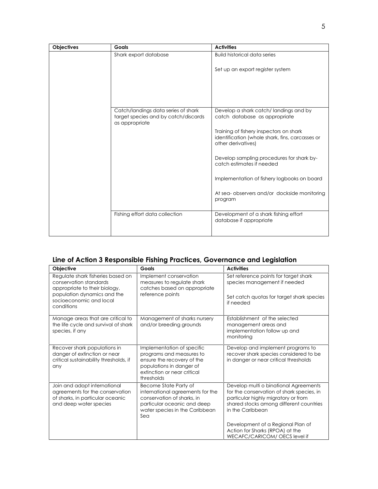| Objectives | Goals                                                                                         | <b>Activities</b>                                                                                                |
|------------|-----------------------------------------------------------------------------------------------|------------------------------------------------------------------------------------------------------------------|
|            | Shark export database                                                                         | <b>Build historical data series</b>                                                                              |
|            |                                                                                               | Set up an export register system                                                                                 |
|            |                                                                                               |                                                                                                                  |
|            | Catch/landings data series of shark<br>target species and by catch/discards<br>as appropriate | Develop a shark catch/landings and by<br>catch database as appropriate                                           |
|            |                                                                                               | Training of fishery inspectors on shark<br>identification (whole shark, fins, carcasses or<br>other derivatives) |
|            |                                                                                               | Develop sampling procedures for shark by-<br>catch estimates if needed                                           |
|            |                                                                                               | Implementation of fishery logbooks on board                                                                      |
|            |                                                                                               | At sea- observers and/or dockside monitoring<br>program                                                          |
|            | Fishing effort data collection                                                                | Development of a shark fishing effort<br>database if appropriate                                                 |
|            |                                                                                               |                                                                                                                  |

#### **Line of Action 3 Responsible Fishing Practices, Governance and Legislation**

| Objective                                                                                                                                                            | Goals                                                                                                                                                           | <b>Activities</b>                                                                                                                                                                        |
|----------------------------------------------------------------------------------------------------------------------------------------------------------------------|-----------------------------------------------------------------------------------------------------------------------------------------------------------------|------------------------------------------------------------------------------------------------------------------------------------------------------------------------------------------|
| Regulate shark fisheries based on<br>conservation standards<br>appropriate to their biology,<br>population dynamics and the<br>socioeconomic and local<br>conditions | Implement conservation<br>measures to regulate shark<br>catches based on appropriate<br>reference points                                                        | Set reference points for target shark<br>species management if needed<br>Set catch quotas for target shark species<br>if needed                                                          |
| Manage areas that are critical to<br>the life cycle and survival of shark<br>species, if any                                                                         | Management of sharks nursery<br>and/or breeding grounds                                                                                                         | Establishment of the selected<br>management areas and<br>implementation follow up and<br>monitoring                                                                                      |
| Recover shark populations in<br>danger of extinction or near<br>critical sustainability thresholds, if<br>any                                                        | Implementation of specific<br>programs and measures to<br>ensure the recovery of the<br>populations in danger of<br>extinction or near critical<br>thresholds   | Develop and implement programs to<br>recover shark species considered to be<br>in danger or near critical thresholds                                                                     |
| Join and adopt international<br>agreements for the conservation<br>of sharks, in particular oceanic<br>and deep water species                                        | Become State Party of<br>international agreements for the<br>conservation of sharks, in<br>particular oceanic and deep<br>water species in the Caribbean<br>Sea | Develop multi o binational Agreements<br>for the conservation of shark species, in<br>particular highly migratory or from<br>shared stocks among different countries<br>in the Caribbean |
|                                                                                                                                                                      |                                                                                                                                                                 | Development of a Regional Plan of<br>Action for Sharks (RPOA) at the<br>WECAFC/CARICOM/ OECS level if                                                                                    |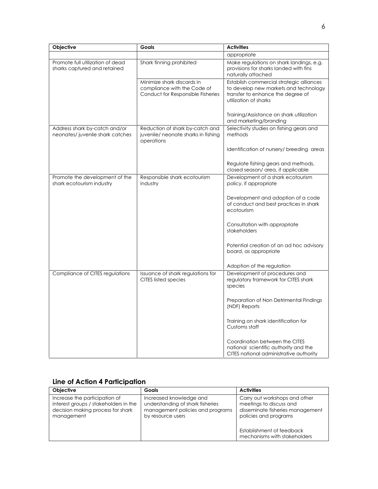| Objective                                                        | Goals                                                                                          | <b>Activities</b>                                                                                                                               |
|------------------------------------------------------------------|------------------------------------------------------------------------------------------------|-------------------------------------------------------------------------------------------------------------------------------------------------|
|                                                                  |                                                                                                | appropriate                                                                                                                                     |
| Promote full utilization of dead<br>sharks captured and retained | Shark finning prohibited                                                                       | Make regulations on shark landings, e.g.<br>provisions for sharks landed with fins<br>naturally attached                                        |
|                                                                  | Minimize shark discards in<br>compliance with the Code of<br>Conduct for Responsible Fisheries | Establish commercial strategic alliances<br>to develop new markets and technology<br>transfer to enhance the degree of<br>utilization of sharks |
|                                                                  |                                                                                                | Training/Assistance on shark utilization<br>and marketing/branding                                                                              |
| Address shark by-catch and/or<br>neonates/juvenile shark catches | Reduction of shark by-catch and<br>juvenile/ neonate sharks in fishing<br>operations           | Selectivity studies on fishing gears and<br>methods                                                                                             |
|                                                                  |                                                                                                | Identification of nursery/ breeding areas                                                                                                       |
|                                                                  |                                                                                                | Regulate fishing gears and methods,<br>closed season/ area, if applicable                                                                       |
| Promote the development of the<br>shark ecotourism industry      | Responsible shark ecotourism<br>industry                                                       | Development of a shark ecotourism<br>policy, if appropriate                                                                                     |
|                                                                  |                                                                                                | Development and adoption of a code<br>of conduct and best practices in shark<br>ecotourism                                                      |
|                                                                  |                                                                                                | Consultation with appropriate<br>stakeholders                                                                                                   |
|                                                                  |                                                                                                | Potential creation of an ad hoc advisory<br>board, as appropriate                                                                               |
|                                                                  |                                                                                                | Adoption of the regulation                                                                                                                      |
| Compliance of CITES regulations                                  | Issuance of shark regulations for<br><b>CITES listed species</b>                               | Development of procedures and<br>regulatory framework for CITES shark<br>species                                                                |
|                                                                  |                                                                                                | Preparation of Non Detrimental Findings<br>(NDF) Reports                                                                                        |
|                                                                  |                                                                                                | Training on shark identification for<br>Customs staff                                                                                           |
|                                                                  |                                                                                                | Coordination between the CITES<br>national scientific authority and the<br>CITES national administrative authority                              |

#### **Line of Action 4 Participation**

| <b>Objective</b>                                                                                                          | Goals                                                                                                                | <b>Activities</b>                                                                                                     |
|---------------------------------------------------------------------------------------------------------------------------|----------------------------------------------------------------------------------------------------------------------|-----------------------------------------------------------------------------------------------------------------------|
| Increase the participation of<br>interest groups / stakeholders in the<br>decision making process for shark<br>management | Increased knowledge and<br>understanding of shark fisheries<br>management policies and programs<br>by resource users | Carry out workshops and other<br>meetings to discuss and<br>disseminate fisheries management<br>policies and programs |
|                                                                                                                           |                                                                                                                      | Establishment of feedback<br>mechanisms with stakeholders                                                             |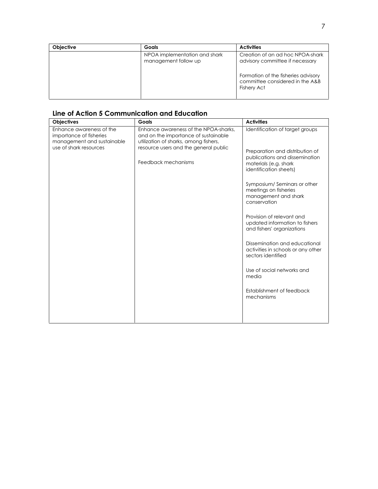| <b>Objective</b> | Goals                                                 | <b>Activities</b>                                                                            |
|------------------|-------------------------------------------------------|----------------------------------------------------------------------------------------------|
|                  | NPOA implementation and shark<br>management follow up | Creation of an ad hoc NPOA-shark<br>advisory committee if necessary                          |
|                  |                                                       | Formation of the fisheries advisory<br>committee considered in the A&B<br><b>Fishery Act</b> |

### **Line of Action 5 Communication and Education**

| Objectives                                                                                                  | Goals                                                                                                                                                                                  | <b>Activities</b>                                                                                    |
|-------------------------------------------------------------------------------------------------------------|----------------------------------------------------------------------------------------------------------------------------------------------------------------------------------------|------------------------------------------------------------------------------------------------------|
| Enhance awareness of the<br>importance of fisheries<br>management and sustainable<br>use of shark resources | Enhance awareness of the NPOA-sharks,<br>and on the importance of sustainable<br>utilization of sharks, among fishers,<br>resource users and the general public<br>Feedback mechanisms | Identification of target groups<br>Preparation and distribution of<br>publications and dissemination |
|                                                                                                             |                                                                                                                                                                                        | materials (e.g. shark<br>identification sheets)<br>Symposium/Seminars or other                       |
|                                                                                                             |                                                                                                                                                                                        | meetings on fisheries<br>management and shark<br>conservation                                        |
|                                                                                                             |                                                                                                                                                                                        | Provision of relevant and<br>updated information to fishers<br>and fishers' organizations            |
|                                                                                                             |                                                                                                                                                                                        | Dissemination and educational<br>activities in schools or any other<br>sectors identified            |
|                                                                                                             |                                                                                                                                                                                        | Use of social networks and<br>media                                                                  |
|                                                                                                             |                                                                                                                                                                                        | Establishment of feedback<br>mechanisms                                                              |
|                                                                                                             |                                                                                                                                                                                        |                                                                                                      |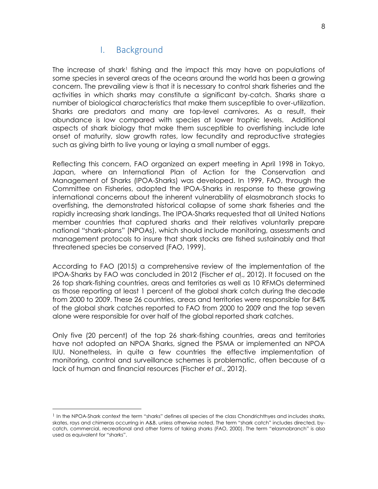## I. Background

The increase of shark<sup>1</sup> fishing and the impact this may have on populations of some species in several areas of the oceans around the world has been a growing concern. The prevailing view is that it is necessary to control shark fisheries and the activities in which sharks may constitute a significant by-catch. Sharks share a number of biological characteristics that make them susceptible to over-utilization. Sharks are predators and many are top-level carnivores. As a result, their abundance is low compared with species at lower trophic levels. Additional aspects of shark biology that make them susceptible to overfishing include late onset of maturity, slow growth rates, low fecundity and reproductive strategies such as giving birth to live young or laying a small number of eggs.

Reflecting this concern, FAO organized an expert meeting in April 1998 in Tokyo, Japan, where an International Plan of Action for the Conservation and Management of Sharks (IPOA-Sharks) was developed. In 1999, FAO, through the Committee on Fisheries, adopted the IPOA-Sharks in response to these growing international concerns about the inherent vulnerability of elasmobranch stocks to overfishing, the demonstrated historical collapse of some shark fisheries and the rapidly increasing shark landings. The IPOA-Sharks requested that all United Nations member countries that captured sharks and their relatives voluntarily prepare national "shark-plans" (NPOAs), which should include monitoring, assessments and management protocols to insure that shark stocks are fished sustainably and that threatened species be conserved (FAO, 1999).

According to FAO (2015) a comprehensive review of the implementation of the IPOA-Sharks by FAO was concluded in 2012 (Fischer *et a*l., 2012). It focused on the 26 top shark-fishing countries, areas and territories as well as 10 RFMOs determined as those reporting at least 1 percent of the global shark catch during the decade from 2000 to 2009. These 26 countries, areas and territories were responsible for 84% of the global shark catches reported to FAO from 2000 to 2009 and the top seven alone were responsible for over half of the global reported shark catches.

Only five (20 percent) of the top 26 shark-fishing countries, areas and territories have not adopted an NPOA Sharks, signed the PSMA or implemented an NPOA IUU. Nonetheless, in quite a few countries the effective implementation of monitoring, control and surveillance schemes is problematic, often because of a lack of human and financial resources (Fischer *et al*., 2012).

<sup>&</sup>lt;sup>1</sup> In the NPOA-Shark context the term "sharks" defines all species of the class Chondrichthyes and includes sharks, skates, rays and chimeras occurring in A&B, unless otherwise noted. The term "shark catch" includes directed, by catch, commercial, recreational and other forms of taking sharks (FAO, 2000). The term "elasmobranch" is also used as equivalent for "sharks".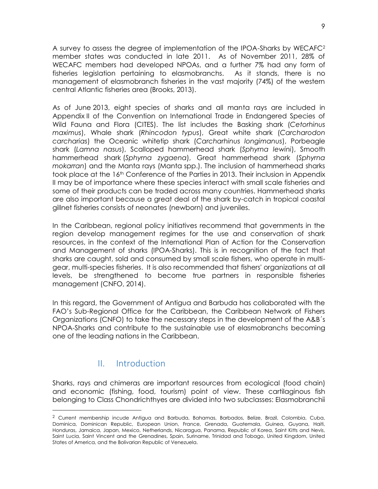A survey to assess the degree of implementation of the IPOA-Sharks by WECAFC<sup>2</sup> member states was conducted in late 2011. As of November 2011, 28% of WECAFC members had developed NPOAs, and a further 7% had any form of fisheries legislation pertaining to elasmobranchs. As it stands, there is no management of elasmobranch fisheries in the vast majority (74%) of the western central Atlantic fisheries area (Brooks, 2013).

As of June 2013, eight species of sharks and all manta rays are included in Appendix II of the Convention on International Trade in Endangered Species of Wild Fauna and Flora (CITES). The list includes the Basking shark (*Cetorhinus maximus*), Whale shark (*Rhincodon typus*), Great white shark (*Carcharodon carcharias*) the Oceanic whitetip shark (*Carcharhinus longimanus*), Porbeagle shark (*Lamna nasus*), Scalloped hammerhead shark (*Sphyrna lewini*), Smooth hammerhead shark (*Sphyrna zygaena*), Great hammerhead shark (*Sphyrna mokarran*) and the Manta rays (Manta spp.). The inclusion of hammerhead sharks took place at the 16<sup>th</sup> Conference of the Parties in 2013. Their inclusion in Appendix II may be of importance where these species interact with small scale fisheries and some of their products can be traded across many countries. Hammerhead sharks are also important because a great deal of the shark by-catch in tropical coastal gillnet fisheries consists of neonates (newborn) and juveniles.

In the Caribbean, regional policy initiatives recommend that governments in the region develop management regimes for the use and conservation of shark resources, in the context of the International Plan of Action for the Conservation and Management of sharks (IPOA-Sharks). This is in recognition of the fact that sharks are caught, sold and consumed by small scale fishers, who operate in multi gear, multi-species fisheries. It is also recommended that fishers' organizations at all levels, be strengthened to become true partners in responsible fisheries management (CNFO, 2014).

In this regard, the Government of Antigua and Barbuda has collaborated with the FAO's Sub-Regional Office for the Caribbean, the Caribbean Network of Fishers Organizations (CNFO) to take the necessary steps in the development of the A&B´s NPOA-Sharks and contribute to the sustainable use of elasmobranchs becoming one of the leading nations in the Caribbean.

## II. Introduction

Sharks, rays and chimeras are important resources from ecological (food chain) and economic (fishing, food, tourism) point of view. These cartilaginous fish belonging to Class Chondrichthyes are divided into two subclasses: Elasmobranchii

<sup>2</sup> Current membership incude Antigua and Barbuda, Bahamas, Barbados, Belize, Brazil, Colombia, Cuba, Dominica, Dominican Republic, European Union, France, Grenada, Guatemala, Guinea, Guyana, Haiti, Honduras, Jamaica, Japan, Mexico, Netherlands, Nicaragua, Panama, Republic of Korea, Saint Kitts and Nevis, Saint Lucia, Saint Vincent and the Grenadines, Spain, Suriname, Trinidad and Tobago, United Kingdom, United States of America, and the Bolivarian Republic of Venezuela.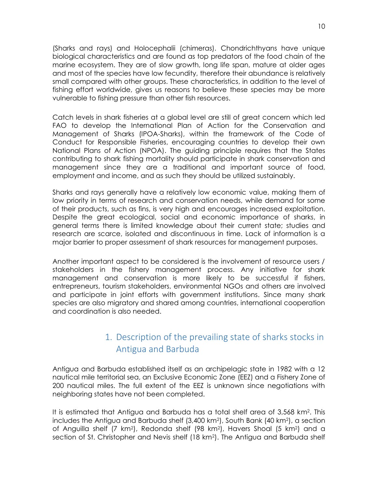(Sharks and rays) and Holocephalii (chimeras). Chondrichthyans have unique biological characteristics and are found as top predators of the food chain of the marine ecosystem. They are of slow growth, long life span, mature at older ages and most of the species have low fecundity, therefore their abundance is relatively small compared with other groups. These characteristics, in addition to the level of fishing effort worldwide, gives us reasons to believe these species may be more vulnerable to fishing pressure than other fish resources.

Catch levels in shark fisheries at a global level are still of great concern which led FAO to develop the International Plan of Action for the Conservation and Management of Sharks (IPOA-Sharks), within the framework of the Code of Conduct for Responsible Fisheries, encouraging countries to develop their own National Plans of Action (NPOA). The guiding principle requires that the States contributing to shark fishing mortality should participate in shark conservation and management since they are a traditional and important source of food, employment and income, and as such they should be utilized sustainably.

Sharks and rays generally have a relatively low economic value, making them of low priority in terms of research and conservation needs, while demand for some of their products, such as fins, is very high and encourages increased exploitation. Despite the great ecological, social and economic importance of sharks, in general terms there is limited knowledge about their current state; studies and research are scarce, isolated and discontinuous in time. Lack of information is a major barrier to proper assessment of shark resources for management purposes.

Another important aspect to be considered is the involvement of resource users / stakeholders in the fishery management process. Any initiative for shark management and conservation is more likely to be successful if fishers, entrepreneurs, tourism stakeholders, environmental NGOs and others are involved and participate in joint efforts with government institutions. Since many shark species are also migratory and shared among countries, international cooperation and coordination is also needed.

## 1. Description of the prevailing state of sharks stocks in Antigua and Barbuda

Antigua and Barbuda established itself as an archipelagic state in 1982 with a 12 nautical mile territorial sea, an Exclusive Economic Zone (EEZ) and a Fishery Zone of 200 nautical miles. The full extent of the EEZ is unknown since negotiations with neighboring states have not been completed.

It is estimated that Antigua and Barbuda has a total shelf area of 3,568 km<sup>2</sup> . This includes the Antigua and Barbuda shelf (3,400 km2), South Bank (40 km2), a section of Anguilla shelf (7 km2), Redonda shelf (98 km2), Havers Shoal (5 km2) and a section of St. Christopher and Nevis shelf (18 km2). The Antigua and Barbuda shelf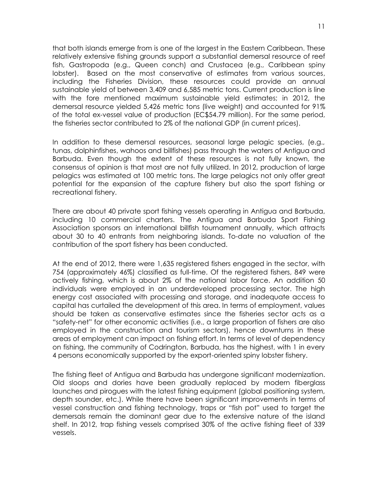that both islands emerge from is one of the largest in the Eastern Caribbean. These relatively extensive fishing grounds support a substantial demersal resource of reef fish, Gastropoda (e.g., Queen conch) and Crustacea (e.g., Caribbean spiny lobster). Based on the most conservative of estimates from various sources, including the Fisheries Division, these resources could provide an annual sustainable yield of between 3,409 and 6,585 metric tons. Current production is line with the fore mentioned maximum sustainable yield estimates; in 2012, the demersal resource yielded 5,426 metric tons (live weight) and accounted for 91% of the total ex-vessel value of production (EC\$54.79 million). For the same period, the fisheries sector contributed to 2% of the national GDP (in current prices).

In addition to these demersal resources, seasonal large pelagic species, (e.g., tunas, dolphinfishes, wahoos and billfishes) pass through the waters of Antigua and Barbuda. Even though the extent of these resources is not fully known, the consensus of opinion is that most are not fully utilized. In 2012, production of large pelagics was estimated at 100 metric tons. The large pelagics not only offer great potential for the expansion of the capture fishery but also the sport fishing or recreational fishery.

There are about 40 private sport fishing vessels operating in Antigua and Barbuda, including 10 commercial charters. The Antigua and Barbuda Sport Fishing Association sponsors an international billfish tournament annually, which attracts about 30 to 40 entrants from neighboring islands. To-date no valuation of the contribution of the sport fishery has been conducted.

At the end of 2012, there were 1,635 registered fishers engaged in the sector, with 754 (approximately 46%) classified as full-time. Of the registered fishers, 849 were actively fishing, which is about 2% of the national labor force. An addition 50 individuals were employed in an underdeveloped processing sector. The high energy cost associated with processing and storage, and inadequate access to capital has curtailed the development of this area. In terms of employment, values should be taken as conservative estimates since the fisheries sector acts as a "safety-net" for other economic activities (i.e., a large proportion of fishers are also employed in the construction and tourism sectors), hence downturns in these areas of employment can impact on fishing effort. In terms of level of dependency on fishing, the community of Codrington, Barbuda, has the highest, with 1 in every 4 persons economically supported by the export-oriented spiny lobster fishery.

The fishing fleet of Antigua and Barbuda has undergone significant modernization. Old sloops and dories have been gradually replaced by modern fiberglass launches and pirogues with the latest fishing equipment (global positioning system, depth sounder, etc.). While there have been significant improvements in terms of vessel construction and fishing technology, traps or "fish pot" used to target the demersals remain the dominant gear due to the extensive nature of the island shelf. In 2012, trap fishing vessels comprised 30% of the active fishing fleet of 339 vessels.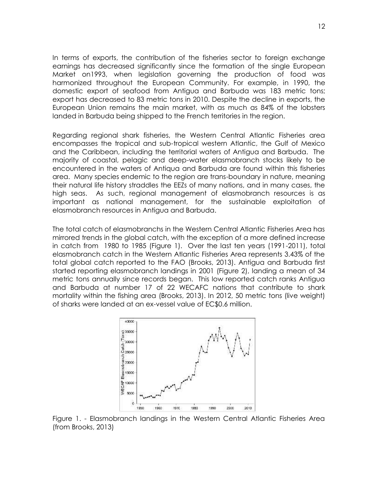In terms of exports, the contribution of the fisheries sector to foreign exchange earnings has decreased significantly since the formation of the single European Market on1993, when legislation governing the production of food was harmonized throughout the European Community. For example, in 1990, the domestic export of seafood from Antigua and Barbuda was 183 metric tons; export has decreased to 83 metric tons in 2010. Despite the decline in exports, the European Union remains the main market, with as much as 84% of the lobsters landed in Barbuda being shipped to the French territories in the region.

Regarding regional shark fisheries, the Western Central Atlantic Fisheries area encompasses the tropical and sub-tropical western Atlantic, the Gulf of Mexico and the Caribbean, including the territorial waters of Antigua and Barbuda. The majority of coastal, pelagic and deep-water elasmobranch stocks likely to be encountered in the waters of Antiqua and Barbuda are found within this fisheries area. Many species endemic to the region are trans-boundary in nature, meaning their natural life history straddles the EEZs of many nations, and in many cases, the high seas. As such, regional management of elasmobranch resources is as important as national management, for the sustainable exploitation of elasmobranch resources in Antigua and Barbuda.

The total catch of elasmobranchs in the Western Central Atlantic Fisheries Area has mirrored trends in the global catch, with the exception of a more defined increase in catch from 1980 to 1985 (Figure 1). Over the last ten years (1991-2011), total elasmobranch catch in the Western Atlantic Fisheries Area represents 3.43% of the total global catch reported to the FAO (Brooks, 2013). Antigua and Barbuda first started reporting elasmobranch landings in 2001 (Figure 2), landing a mean of 34 metric tons annually since records began. This low reported catch ranks Antigua and Barbuda at number 17 of 22 WECAFC nations that contribute to shark mortality within the fishing area (Brooks, 2013). In 2012, 50 metric tons (live weight) of sharks were landed at an ex-vessel value of EC\$0.6 million.



Figure 1. - Elasmobranch landings in the Western Central Atlantic Fisheries Area (from Brooks, 2013)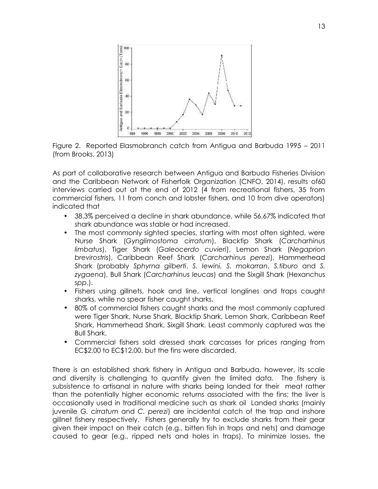

Figure 2. Reported Elasmobranch catch from Antigua and Barbuda 1995 – 2011 (from Brooks, 2013)

As part of collaborative research between Antigua and Barbuda Fisheries Division and the Caribbean Network of Fisherfolk Organization (CNFO, 2014), results of60 interviews carried out at the end of 2012 (4 from recreational fishers, 35 from commercial fishers, 11 from conch and lobster fishers, and 10 from dive operators) indicated that

- 38.3% perceived a decline in shark abundance, while 56.67% indicated that shark abundance was stable or had increased.
- The most commonly sighted species, starting with most often sighted, were Nurse Shark (*Gynglimostoma cirratum*), Blacktip Shark (*Carcharhinus limbatus*), Tiger Shark (*Galeocerdo cuvieri*), Lemon Shark (*Negaprion brevirostris*), Caribbean Reef Shark (*Carcharhinus perezi*), Hammerhead Shark (probably *Sphyrna gilberti*, *S. lewini, S. mokarran*, *S.tiburo* and *S. zygaena*), Bull Shark (*Carcharhinus leucas*) and the Sixgill Shark (Hexanchus *spp*.).
- Fishers using gillnets, hook and line, vertical longlines and traps caught sharks, while no spear fisher caught sharks.
- 80% of commercial fishers caught sharks and the most commonly captured were Tiger Shark, Nurse Shark, Blacktip Shark, Lemon Shark, Caribbean Reef Shark, Hammerhead Shark, Sixgill Shark. Least commonly captured was the Bull Shark.
- Commercial fishers sold dressed shark carcasses for prices ranging from EC\$2.00 to EC\$12.00, but the fins were discarded.

There is an established shark fishery in Antigua and Barbuda, however, its scale and diversity is challenging to quantify given the limited data. The fishery is subsistence to artisanal in nature with sharks being landed for their meat rather than the potentially higher economic returns associated with the fins; the liver is occasionally used in traditional medicine such as shark oil Landed sharks (mainly juvenile *G. cirratum* and *C. perezi*) are incidental catch of the trap and inshore gillnet fishery respectively. Fishers generally try to exclude sharks from their gear given their impact on their catch (e.g., bitten fish in traps and nets) and damage caused to gear (e.g., ripped nets and holes in traps). To minimize losses, the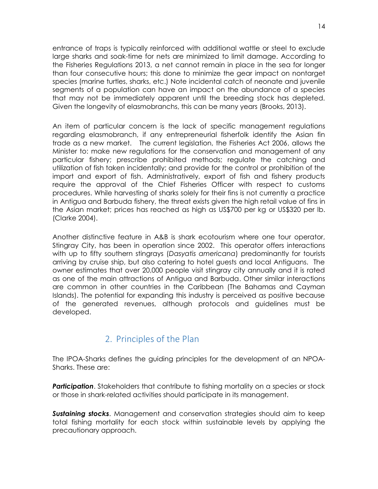entrance of traps is typically reinforced with additional wattle or steel to exclude large sharks and soak-time for nets are minimized to limit damage. According to the Fisheries Regulations 2013, a net cannot remain in place in the sea for longer than four consecutive hours; this done to minimize the gear impact on nontarget species (marine turtles, sharks, etc.) Note incidental catch of neonate and juvenile segments of a population can have an impact on the abundance of a species that may not be immediately apparent until the breeding stock has depleted. Given the longevity of elasmobranchs, this can be many years (Brooks, 2013).

An item of particular concern is the lack of specific management regulations regarding elasmobranch, if any entrepreneurial fisherfolk identify the Asian fin trade as a new market. The current legislation, the Fisheries Act 2006, allows the Minister to: make new regulations for the conservation and management of any particular fishery; prescribe prohibited methods; regulate the catching and utilization of fish taken incidentally; and provide for the control or prohibition of the import and export of fish. Administratively, export of fish and fishery products require the approval of the Chief Fisheries Officer with respect to customs procedures. While harvesting of sharks solely for their fins is not currently a practice in Antigua and Barbuda fishery, the threat exists given the high retail value of fins in the Asian market; prices has reached as high as US\$700 per kg or US\$320 per lb. (Clarke 2004).

Another distinctive feature in A&B is shark ecotourism where one tour operator, Stingray City, has been in operation since 2002. This operator offers interactions with up to fifty southern stingrays (*Dasyatis americana*) predominantly for tourists arriving by cruise ship, but also catering to hotel guests and local Antiguans. The owner estimates that over 20,000 people visit stingray city annually and it is rated as one of the main attractions of Antigua and Barbuda. Other similar interactions are common in other countries in the Caribbean (The Bahamas and Cayman Islands). The potential for expanding this industry is perceived as positive because of the generated revenues, although protocols and guidelines must be developed.

## 2. Principles of the Plan

The IPOA-Sharks defines the guiding principles for the development of an NPOA- Sharks. These are:

**Participation**. Stakeholders that contribute to fishing mortality on a species or stock or those in shark-related activities should participate in its management.

*Sustaining stocks*. Management and conservation strategies should aim to keep total fishing mortality for each stock within sustainable levels by applying the precautionary approach.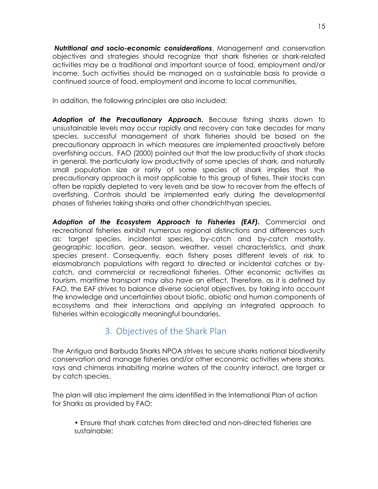*Nutritional and socio-economic considerations*. Management and conservation objectives and strategies should recognize that shark fisheries or shark-related activities may be a traditional and important source of food, employment and/or income. Such activities should be managed on a sustainable basis to provide a continued source of food, employment and income to local communities.

In addition, the following principles are also included:

*Adoption of the Precautionary Approach***.** Because fishing sharks down to unsustainable levels may occur rapidly and recovery can take decades for many species, successful management of shark fisheries should be based on the precautionary approach in which measures are implemented proactively before overfishing occurs. FAO (2000) pointed out that the low productivity of shark stocks in general, the particularly low productivity of some species of shark, and naturally small population size or rarity of some species of shark implies that the precautionary approach is most applicable to this group of fishes. Their stocks can often be rapidly depleted to very levels and be slow to recover from the effects of overfishing. Controls should be implemented early during the developmental phases of fisheries taking sharks and other chondrichthyan species.

*Adoption of the Ecosystem Approach to Fisheries (EAF).* Commercial and recreational fisheries exhibit numerous regional distinctions and differences such as: target species, incidental species, by-catch and by-catch mortality, geographic location, gear, season, weather, vessel characteristics, and shark species present. Consequently, each fishery poses different levels of risk to elasmobranch populations with regard to directed or incidental catches or by catch, and commercial or recreational fisheries. Other economic activities as tourism, maritime transport may also have an effect. Therefore, as it is defined by FAO, the EAF strives to balance diverse societal objectives, by taking into account the knowledge and uncertainties about biotic, abiotic and human components of ecosystems and their interactions and applying an integrated approach to fisheries within ecologically meaningful boundaries.

## 3. Objectives of the Shark Plan

The Antigua and Barbuda Sharks NPOA strives to secure sharks national biodiversity conservation and manage fisheries and/or other economic activities where sharks, rays and chimeras inhabiting marine waters of the country interact, are target or by catch species.

The plan will also implement the aims identified in the International Plan of action for Sharks as provided by FAO:

• Ensure that shark catches from directed and non-directed fisheries are sustainable;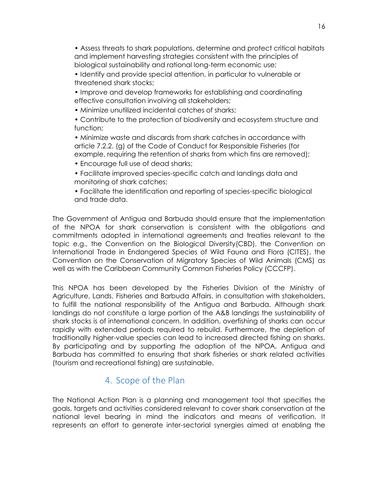• Assess threats to shark populations, determine and protect critical habitats and implement harvesting strategies consistent with the principles of biological sustainability and rational long-term economic use;

• Identify and provide special attention, in particular to vulnerable or threatened shark stocks;

• Improve and develop frameworks for establishing and coordinating effective consultation involving all stakeholders;

• Minimize unutilized incidental catches of sharks;

• Contribute to the protection of biodiversity and ecosystem structure and function;

• Minimize waste and discards from shark catches in accordance with article 7.2.2. (g) of the Code of Conduct for Responsible Fisheries (for example, requiring the retention of sharks from which fins are removed);

• Encourage full use of dead sharks;

• Facilitate improved species-specific catch and landings data and monitoring of shark catches;

• Facilitate the identification and reporting of species-specific biological and trade data.

The Government of Antigua and Barbuda should ensure that the implementation of the NPOA for shark conservation is consistent with the obligations and commitments adopted in international agreements and treaties relevant to the topic e.g., the Convention on the Biological Diversity(CBD), the Convention on International Trade in Endangered Species of Wild Fauna and Flora (CITES), the Convention on the Conservation of Migratory Species of Wild Animals (CMS) as well as with the Caribbean Community Common Fisheries Policy (CCCFP).

This NPOA has been developed by the Fisheries Division of the Ministry of Agriculture, Lands, Fisheries and Barbuda Affairs, in consultation with stakeholders, to fulfill the national responsibility of the Antigua and Barbuda. Although shark landings do not constitute a large portion of the A&B landings the sustainability of shark stocks is of international concern. In addition, overfishing of sharks can occur rapidly with extended periods required to rebuild. Furthermore, the depletion of traditionally higher-value species can lead to increased directed fishing on sharks. By participating and by supporting the adoption of the NPOA, Antigua and Barbuda has committed to ensuring that shark fisheries or shark related activities (tourism and recreational fishing) are sustainable.

## 4. Scope of the Plan

The National Action Plan is a planning and management tool that specifies the goals, targets and activities considered relevant to cover shark conservation at the national level bearing in mind the indicators and means of verification. It represents an effort to generate inter-sectorial synergies aimed at enabling the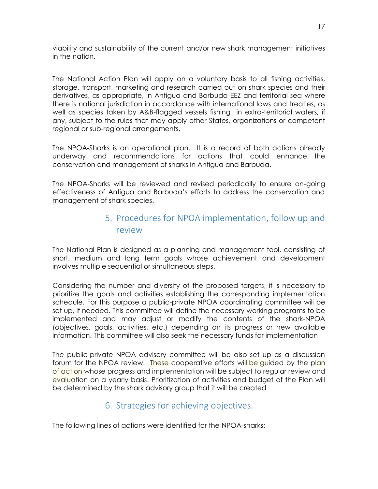viability and sustainability of the current and/or new shark management initiatives in the nation.

The National Action Plan will apply on a voluntary basis to all fishing activities, storage, transport, marketing and research carried out on shark species and their derivatives, as appropriate, in Antigua and Barbuda EEZ and territorial sea where there is national jurisdiction in accordance with international laws and treaties, as well as species taken by A&B-flagged vessels fishing in extra-territorial waters, if any, subject to the rules that may apply other States, organizations or competent regional or sub-regional arrangements.

The NPOA-Sharks is an operational plan. It is a record of both actions already underway and recommendations for actions that could enhance the conservation and management of sharks in Antigua and Barbuda.

The NPOA-Sharks will be reviewed and revised periodically to ensure on-going effectiveness of Antigua and Barbuda's efforts to address the conservation and management of shark species.

## 5. Procedures for NPOA implementation, follow up and review

The National Plan is designed as a planning and management tool, consisting of short, medium and long term goals whose achievement and development involves multiple sequential or simultaneous steps.

Considering the number and diversity of the proposed targets, it is necessary to prioritize the goals and activities establishing the corresponding implementation schedule. For this purpose a public-private NPOA coordinating committee will be set up, if needed. This committee will define the necessary working programs to be implemented and may adjust or modify the contents of the shark-NPOA (objectives, goals, activities, etc.) depending on its progress or new available information. This committee will also seek the necessary funds for implementation

The public-private NPOA advisory committee will be also set up as a discussion forum for the NPOA review. These cooperative efforts will be guided by the plan of action whose progress and implementation will be subject to regular review and evaluation on a yearly basis. Prioritization of activities and budget of the Plan will be determined by the shark advisory group that it will be created

## 6. Strategies for achieving objectives.

The following lines of actions were identified for the NPOA-sharks: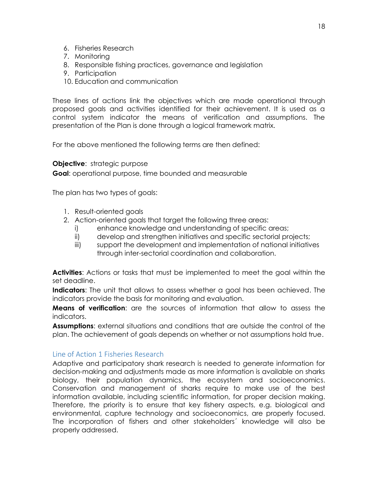- 6. Fisheries Research
- 7. Monitoring
- 8. Responsible fishing practices, governance and legislation
- 9. Participation
- 10. Education and communication

These lines of actions link the objectives which are made operational through proposed goals and activities identified for their achievement. It is used as a control system indicator the means of verification and assumptions. The presentation of the Plan is done through a logical framework matrix.

For the above mentioned the following terms are then defined:

#### **Objective:** strategic purpose

**Goal**: operational purpose, time bounded and measurable

The plan has two types of goals:

- 1. Result-oriented goals
- 2. Action-oriented goals that target the following three areas:
	- i) enhance knowledge and understanding of specific areas;
	- ii) develop and strengthen initiatives and specific sectorial projects;
	- iii) support the development and implementation of national initiatives through inter-sectorial coordination and collaboration.

**Activities**: Actions or tasks that must be implemented to meet the goal within the set deadline.

**Indicators**: The unit that allows to assess whether a goal has been achieved. The indicators provide the basis for monitoring and evaluation.

**Means of verification**: are the sources of information that allow to assess the indicators.

**Assumptions**: external situations and conditions that are outside the control of the plan. The achievement of goals depends on whether or not assumptions hold true.

#### Line of Action 1 Fisheries Research

Adaptive and participatory shark research is needed to generate information for decision-making and adjustments made as more information is available on sharks biology, their population dynamics, the ecosystem and socioeconomics. Conservation and management of sharks require to make use of the best information available, including scientific information, for proper decision making. Therefore, the priority is to ensure that key fishery aspects, e.g. biological and environmental, capture technology and socioeconomics, are properly focused. The incorporation of fishers and other stakeholders´ knowledge will also be properly addressed.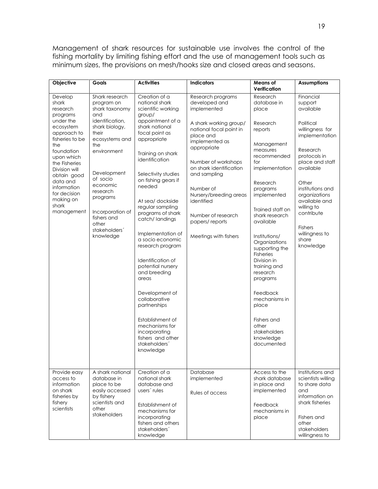Management of shark resources for sustainable use involves the control of the fishing mortality by limiting fishing effort and the use of management tools such as minimum sizes, the provisions on mesh/hooks size and closed areas and seasons.

| Objective                                                                                                                                                                          | Goals                                                                                                                                                                         | <b>Activities</b>                                                                                                                                                                                                                                                                                                                                                                                                                                                                       | <b>Indicators</b>                                                                                                                                                                                                                  | <b>Means of</b>                                                                                                                                                                                                                                                                                                                                                                           | <b>Assumptions</b>                                                                                                                                                                                                              |
|------------------------------------------------------------------------------------------------------------------------------------------------------------------------------------|-------------------------------------------------------------------------------------------------------------------------------------------------------------------------------|-----------------------------------------------------------------------------------------------------------------------------------------------------------------------------------------------------------------------------------------------------------------------------------------------------------------------------------------------------------------------------------------------------------------------------------------------------------------------------------------|------------------------------------------------------------------------------------------------------------------------------------------------------------------------------------------------------------------------------------|-------------------------------------------------------------------------------------------------------------------------------------------------------------------------------------------------------------------------------------------------------------------------------------------------------------------------------------------------------------------------------------------|---------------------------------------------------------------------------------------------------------------------------------------------------------------------------------------------------------------------------------|
|                                                                                                                                                                                    |                                                                                                                                                                               |                                                                                                                                                                                                                                                                                                                                                                                                                                                                                         |                                                                                                                                                                                                                                    | Verification                                                                                                                                                                                                                                                                                                                                                                              |                                                                                                                                                                                                                                 |
| Develop<br>shark<br>research<br>programs<br>under the<br>ecosystem<br>approach to                                                                                                  | Shark research<br>program on<br>shark taxonomy<br>and<br>identification,<br>shark biology,<br>their                                                                           | Creation of a<br>national shark<br>scientific working<br>group/<br>appointment of a<br>shark national<br>focal point as                                                                                                                                                                                                                                                                                                                                                                 | Research programs<br>developed and<br>implemented<br>A shark working group/<br>national focal point in                                                                                                                             | Research<br>database in<br>place<br>Research<br>reports                                                                                                                                                                                                                                                                                                                                   | Financial<br>support<br>available<br>Political<br>willingness for                                                                                                                                                               |
| fisheries to be<br>the<br>foundation<br>upon which<br>the Fisheries<br>Division will<br>obtain good<br>data and<br>information<br>for decision<br>making on<br>shark<br>management | ecosystems and<br>the<br>environment<br>Development<br>of socio<br>economic<br>research<br>programs<br>Incorporation of<br>fishers and<br>other<br>stakeholders'<br>knowledge | appropriate<br>Training on shark<br>identification<br>Selectivity studies<br>on fishing gears if<br>needed<br>At sea/ dockside<br>regular sampling<br>programs of shark<br>catch/ landings<br>Implementation of<br>a socio economic<br>research program<br>Identification of<br>potential nursery<br>and breeding<br>areas<br>Development of<br>collaborative<br>partnerships<br>Establishment of<br>mechanisms for<br>incorporating<br>fishers and other<br>stakeholders'<br>knowledge | place and<br>implemented as<br>appropriate<br>Number of workshops<br>on shark identification<br>and sampling<br>Number of<br>Nursery/breeding areas<br>identified<br>Number of research<br>papers/reports<br>Meetings with fishers | Management<br>measures<br>recommended<br>for<br>implementation<br>Research<br>programs<br>implemented<br>Trained staff on<br>shark research<br>available<br>Institutions/<br>Organizations<br>supporting the<br>Fisheries<br>Division in<br>training and<br>research<br>programs<br>Feedback<br>mechanisms in<br>place<br>Fishers and<br>other<br>stakeholders<br>knowledge<br>documented | implementation<br>Research<br>protocols in<br>place and staff<br>available<br>Other<br>institutions and<br>organizations<br>available and<br>willing to<br>contribute<br><b>Fishers</b><br>willingness to<br>share<br>knowledge |
| Provide easy<br>access to<br>information<br>on shark<br>fisheries by<br>fishery<br>scientists                                                                                      | A shark national<br>database in<br>place to be<br>easily accessed<br>by fishery<br>scientists and<br>other<br>stakeholders                                                    | Creation of a<br>national shark<br>database and<br>users' rules<br>Establishment of<br>mechanisms for<br>incorporating<br>fishers and others<br>stakeholders'<br>knowledge                                                                                                                                                                                                                                                                                                              | Database<br>implemented<br>Rules of access                                                                                                                                                                                         | Access to the<br>shark database<br>in place and<br>implemented<br>Feedback<br>mechanisms in<br>place                                                                                                                                                                                                                                                                                      | Institutions and<br>scientists willing<br>to share data<br>and<br>information on<br>shark fisheries<br>Fishers and<br>other<br><i>stakeholders</i><br>willingness to                                                            |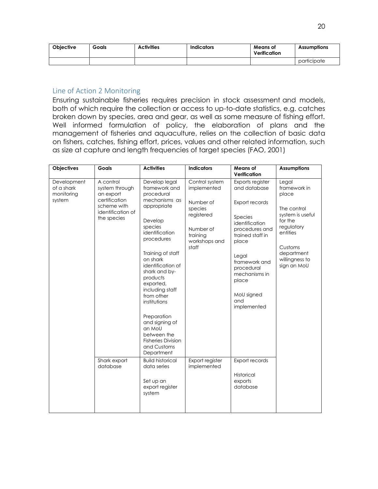| Obiective | Goals | <b>Activities</b> | Indicators | Means of<br>Verification | <b>Assumptions</b> |
|-----------|-------|-------------------|------------|--------------------------|--------------------|
|           |       |                   |            |                          | participate        |

#### Line of Action 2 Monitoring

Ensuring sustainable fisheries requires precision in stock assessment and models, both of which require the collection or access to up-to-date statistics, e.g. catches broken down by species, area and gear, as well as some measure of fishing effort. Well informed formulation of policy, the elaboration of plans and the management of fisheries and aquaculture, relies on the collection of basic data on fishers, catches, fishing effort, prices, values and other related information, such as size at capture and length frequencies of target species (FAO, 2001)

| <b>Objectives</b>                                 | Goals                                                                                                        | <b>Activities</b>                                                                                                                                                                                                                                                                                                                                                                                        | <b>Indicators</b>                                                                                                      | Means of<br>Verification                                                                                                                                                                                                             | <b>Assumptions</b>                                                                                                                                               |
|---------------------------------------------------|--------------------------------------------------------------------------------------------------------------|----------------------------------------------------------------------------------------------------------------------------------------------------------------------------------------------------------------------------------------------------------------------------------------------------------------------------------------------------------------------------------------------------------|------------------------------------------------------------------------------------------------------------------------|--------------------------------------------------------------------------------------------------------------------------------------------------------------------------------------------------------------------------------------|------------------------------------------------------------------------------------------------------------------------------------------------------------------|
| Development<br>of a shark<br>monitoring<br>system | A control<br>system through<br>an export<br>certification<br>scheme with<br>identification of<br>the species | Develop legal<br>framework and<br>procedural<br>mechanisms as<br>appropriate<br>Develop<br>species<br>identification<br>procedures<br>Training of staff<br>on shark<br>identification of<br>shark and by-<br>products<br>exported,<br>including staff<br>from other<br>institutions<br>Preparation<br>and signing of<br>an Moll<br>between the<br><b>Fisheries Division</b><br>and Customs<br>Department | Control system<br>implemented<br>Number of<br>species<br>registered<br>Number of<br>training<br>workshops and<br>staff | Exports register<br>and database<br>Export records<br>Species<br>identification<br>procedures and<br>trained staff in<br>place<br>Legal<br>framework and<br>procedural<br>mechanisms in<br>place<br>MoU signed<br>and<br>implemented | Legal<br>framework in<br>place<br>The control<br>system is useful<br>for the<br>regulatory<br>entities<br>Customs<br>department<br>willingness to<br>sign an MoU |
|                                                   | Shark export<br>database                                                                                     | <b>Build historical</b><br>data series<br>Set up an<br>export register<br>system                                                                                                                                                                                                                                                                                                                         | Export register<br>implemented                                                                                         | Export records<br>Historical<br>exports<br>database                                                                                                                                                                                  |                                                                                                                                                                  |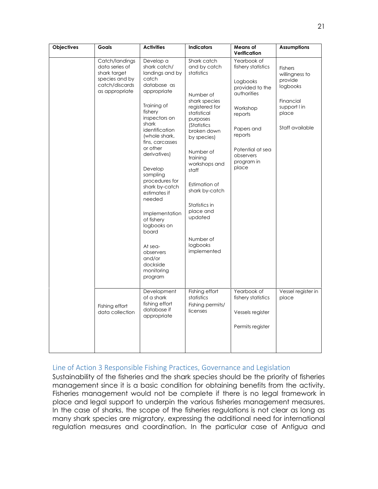| Objectives | Goals                                                                                                  | <b>Activities</b>                                                                                                                                                                                                                                                                                                                                                                                                                             | <b>Indicators</b>                                                                                                                                                                                                                                                                                                                               | <b>Means of</b><br>Verification                                                                                                                                                         | <b>Assumptions</b>                                                                                               |
|------------|--------------------------------------------------------------------------------------------------------|-----------------------------------------------------------------------------------------------------------------------------------------------------------------------------------------------------------------------------------------------------------------------------------------------------------------------------------------------------------------------------------------------------------------------------------------------|-------------------------------------------------------------------------------------------------------------------------------------------------------------------------------------------------------------------------------------------------------------------------------------------------------------------------------------------------|-----------------------------------------------------------------------------------------------------------------------------------------------------------------------------------------|------------------------------------------------------------------------------------------------------------------|
|            | Catch/landings<br>data series of<br>shark target<br>species and by<br>catch/discards<br>as appropriate | Develop a<br>shark catch/<br>landings and by<br>catch<br>database as<br>appropriate<br>Training of<br>fishery<br>inspectors on<br>shark<br>identification<br>(whole shark,<br>fins, carcasses<br>or other<br>derivatives)<br>Develop<br>sampling<br>procedures for<br>shark by-catch<br>estimates if<br>needed<br>Implementation<br>of fishery<br>logbooks on<br>board<br>At sea-<br>observers<br>and/or<br>dockside<br>monitoring<br>program | Shark catch<br>and by catch<br>statistics<br>Number of<br>shark species<br>registered for<br>statistical<br>purposes<br><i>(Statistics</i><br>broken down<br>by species)<br>Number of<br>training<br>workshops and<br>staff<br>Estimation of<br>shark by-catch<br>Statistics in<br>place and<br>updated<br>Number of<br>logbooks<br>implemented | Yearbook of<br>fishery statistics<br>Logbooks<br>provided to the<br>authorities<br>Workshop<br>reports<br>Papers and<br>reports<br>Potential at sea<br>observers<br>program in<br>place | <b>Fishers</b><br>willingness to<br>provide<br>logbooks<br>Financial<br>support I in<br>place<br>Staff available |
|            | Fishing effort<br>data collection                                                                      | Development<br>of a shark<br>fishing effort<br>database if<br>appropriate                                                                                                                                                                                                                                                                                                                                                                     | Fishing effort<br>statistics<br>Fishing permits/<br>licenses                                                                                                                                                                                                                                                                                    | Yearbook of<br>fishery statistics<br>Vessels register<br>Permits register                                                                                                               | Vessel register in<br>place                                                                                      |

#### Line of Action 3 Responsible Fishing Practices, Governance and Legislation

Sustainability of the fisheries and the shark species should be the priority of fisheries management since it is a basic condition for obtaining benefits from the activity. Fisheries management would not be complete if there is no legal framework in place and legal support to underpin the various fisheries management measures. In the case of sharks, the scope of the fisheries regulations is not clear as long as many shark species are migratory, expressing the additional need for international regulation measures and coordination. In the particular case of Antigua and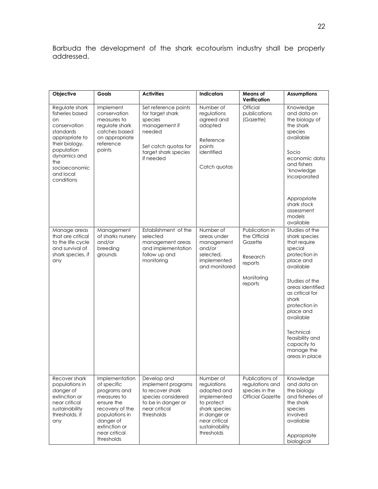Barbuda the development of the shark ecotourism industry shall be properly addressed.

| Objective                                                                                                                                                                                 | Goals                                                                                                                                                                        | <b>Activities</b>                                                                                                                           | <b>Indicators</b>                                                                                                                                      | <b>Means of</b>                                                                           | <b>Assumptions</b>                                                                                                                                                                                                                                                                                |
|-------------------------------------------------------------------------------------------------------------------------------------------------------------------------------------------|------------------------------------------------------------------------------------------------------------------------------------------------------------------------------|---------------------------------------------------------------------------------------------------------------------------------------------|--------------------------------------------------------------------------------------------------------------------------------------------------------|-------------------------------------------------------------------------------------------|---------------------------------------------------------------------------------------------------------------------------------------------------------------------------------------------------------------------------------------------------------------------------------------------------|
|                                                                                                                                                                                           |                                                                                                                                                                              |                                                                                                                                             |                                                                                                                                                        | Verification                                                                              |                                                                                                                                                                                                                                                                                                   |
| Regulate shark<br>fisheries based<br>on<br>conservation<br>standards<br>appropriate to<br>their biology,<br>population<br>dynamics and<br>the<br>socioeconomic<br>and local<br>conditions | Implement<br>conservation<br>measures to<br>regulate shark<br>catches based<br>on appropriate<br>reference<br>points                                                         | Set reference points<br>for target shark<br>species<br>management if<br>needed<br>Set catch quotas for<br>target shark species<br>if needed | Number of<br>regulations<br>agreed and<br>adopted<br>Reference<br>points<br>identified<br>Catch quotas                                                 | Official<br>publications<br>(Gazette)                                                     | Knowledge<br>and data on<br>the biology of<br>the shark<br>species<br>available<br>Socio<br>economic data<br>and fishers<br>'knowledge<br>incorporated<br>Appropriate<br>shark stock<br>assessment<br>models<br>available                                                                         |
| Manage areas<br>that are critical<br>to the life cycle<br>and survival of<br>shark species, if<br>any                                                                                     | Management<br>of sharks nursery<br>and/or<br>breeding<br>grounds                                                                                                             | Establishment of the<br>selected<br>management areas<br>and implementation<br>follow up and<br>monitoring                                   | Number of<br>areas under<br>management<br>and/or<br>selected,<br>implemented<br>and monitored                                                          | Publication in<br>the Official<br>Gazette<br>Research<br>reports<br>Monitoring<br>reports | Studies of the<br>shark species<br>that require<br>special<br>protection in<br>place and<br>available<br>Studies of the<br>areas identified<br>as critical for<br>shark<br>protection in<br>place and<br>available<br>Technical<br>feasibility and<br>capacity to<br>manage the<br>areas in place |
| Recover shark<br>populations in<br>danger of<br>extinction or<br>near critical<br>sustainability<br>thresholds, if<br>any                                                                 | Implementation<br>of specific<br>programs and<br>measures to<br>ensure the<br>recovery of the<br>populations in<br>danger of<br>extinction or<br>near critical<br>thresholds | Develop and<br>implement programs<br>to recover shark<br>species considered<br>to be in danger or<br>near critical<br>thresholds            | Number of<br>regulations<br>adopted and<br>implemented<br>to protect<br>shark species<br>in danger or<br>near critical<br>sustainability<br>thresholds | Publications of<br>regulations and<br>species in the<br><b>Official Gazette</b>           | Knowledge<br>and data on<br>the biology<br>and fisheries of<br>the shark<br>species<br>involved<br>available<br>Appropriate<br>biological                                                                                                                                                         |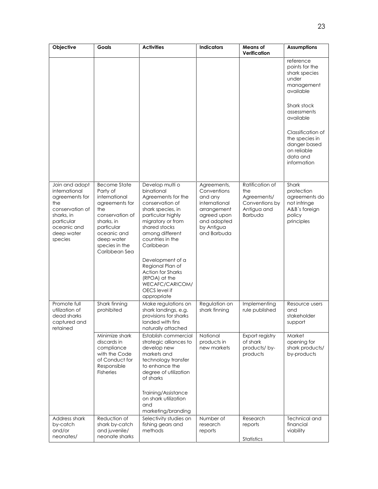| Objective                                                                                                                                       | Goals                                                                                                                                                                                    | <b>Activities</b>                                                                                                                                                                                          | <b>Indicators</b>                                                                                                                | <b>Means of</b><br>Verification                                                          | <b>Assumptions</b>                                                                            |
|-------------------------------------------------------------------------------------------------------------------------------------------------|------------------------------------------------------------------------------------------------------------------------------------------------------------------------------------------|------------------------------------------------------------------------------------------------------------------------------------------------------------------------------------------------------------|----------------------------------------------------------------------------------------------------------------------------------|------------------------------------------------------------------------------------------|-----------------------------------------------------------------------------------------------|
|                                                                                                                                                 |                                                                                                                                                                                          |                                                                                                                                                                                                            |                                                                                                                                  |                                                                                          | reference<br>points for the<br>shark species<br>under<br>management<br>available              |
|                                                                                                                                                 |                                                                                                                                                                                          |                                                                                                                                                                                                            |                                                                                                                                  |                                                                                          | Shark stock<br>assessments<br>available                                                       |
|                                                                                                                                                 |                                                                                                                                                                                          |                                                                                                                                                                                                            |                                                                                                                                  |                                                                                          | Classification of<br>the species in<br>danger based<br>on reliable<br>data and<br>information |
| Join and adopt<br>international<br>agreements for<br>the<br>conservation of<br>sharks, in<br>particular<br>oceanic and<br>deep water<br>species | <b>Become State</b><br>Party of<br>international<br>agreements for<br>the<br>conservation of<br>sharks, in<br>particular<br>oceanic and<br>deep water<br>species in the<br>Caribbean Sea | Develop multi o<br>binational<br>Agreements for the<br>conservation of<br>shark species, in<br>particular highly<br>migratory or from<br>shared stocks<br>among different<br>countries in the<br>Caribbean | Agreements,<br>Conventions<br>and any<br>international<br>arrangement<br>agreed upon<br>and adopted<br>by Antigua<br>and Barbuda | Ratification of<br>the<br>Agreements/<br>Conventions by<br>Antigua and<br><b>Barbuda</b> | Shark<br>protection<br>agreements do<br>not infringe<br>A&B's foreign<br>policy<br>principles |
|                                                                                                                                                 |                                                                                                                                                                                          | Development of a<br>Regional Plan of<br><b>Action for Sharks</b><br>(RPOA) at the<br>WECAFC/CARICOM/<br>OECS level if<br>appropriate                                                                       |                                                                                                                                  |                                                                                          |                                                                                               |
| Promote full<br>utilization of<br>dead sharks<br>captured and<br>retained                                                                       | Shark finning<br>prohibited                                                                                                                                                              | Make regulations on<br>shark landings, e.g.<br>provisions for sharks<br>landed with fins<br>naturally attached                                                                                             | Regulation on<br>shark finning                                                                                                   | Implementing<br>rule published                                                           | Resource users<br>and<br>stakeholder<br>support                                               |
|                                                                                                                                                 | Minimize shark<br>discards in<br>compliance<br>with the Code<br>of Conduct for<br>Responsible<br><b>Fisheries</b>                                                                        | Establish commercial<br>strategic alliances to<br>develop new<br>markets and<br>technology transfer<br>to enhance the<br>degree of utilization<br>of sharks                                                | National<br>products in<br>new markets                                                                                           | Export registry<br>of shark<br>products/by-<br>products                                  | Market<br>opening for<br>shark products/<br>by-products                                       |
|                                                                                                                                                 |                                                                                                                                                                                          | Training/Assistance<br>on shark utilization<br>and<br>marketing/branding                                                                                                                                   |                                                                                                                                  |                                                                                          |                                                                                               |
| Address shark<br>by-catch<br>and/or<br>neonates/                                                                                                | Reduction of<br>shark by-catch<br>and juvenile/<br>neonate sharks                                                                                                                        | Selectivity studies on<br>fishing gears and<br>methods                                                                                                                                                     | Number of<br>research<br>reports                                                                                                 | Research<br>reports<br>Statistics                                                        | <b>Technical and</b><br>financial<br>viability                                                |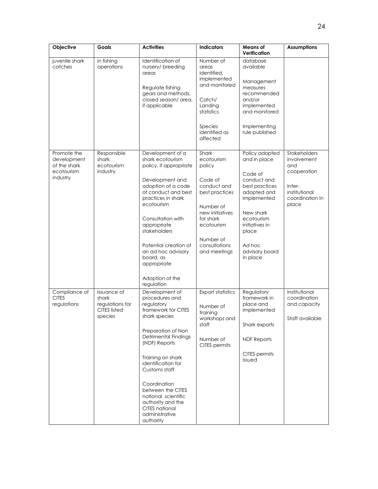| Objective                                                            | Goals                                                                     | <b>Activities</b>                                                                                                                                                                                                                                                                                                                                   | <b>Indicators</b>                                                                                                                                                                  | <b>Means of</b><br>Verification                                                                                                                                                                        | <b>Assumptions</b>                                                                                       |
|----------------------------------------------------------------------|---------------------------------------------------------------------------|-----------------------------------------------------------------------------------------------------------------------------------------------------------------------------------------------------------------------------------------------------------------------------------------------------------------------------------------------------|------------------------------------------------------------------------------------------------------------------------------------------------------------------------------------|--------------------------------------------------------------------------------------------------------------------------------------------------------------------------------------------------------|----------------------------------------------------------------------------------------------------------|
| juvenile shark<br>catches                                            | in fishing<br>operations                                                  | Identification of<br>nursery/ breeding<br>areas<br>Regulate fishing<br>gears and methods,<br>closed season/ area,<br>if applicable                                                                                                                                                                                                                  | Number of<br>areas<br>identified,<br>implemented<br>and monitored<br>Catch/<br>Landing<br>statistics<br>Species<br>identified as<br>affected                                       | database<br>available<br>Management<br>measures<br>recommended<br>and/or<br>implemented<br>and monitored<br>Implementing<br>rule published                                                             |                                                                                                          |
| Promote the<br>development<br>of the shark<br>ecotourism<br>industry | Responsible<br>shark<br>ecotourism<br>industry                            | Development of a<br>shark ecotourism<br>policy, if appropriate<br>Development and<br>adoption of a code<br>of conduct and best<br>practices in shark<br>ecotourism<br>Consultation with<br>appropriate<br>stakeholders<br>Potential creation of<br>an ad hoc advisory<br>board, as<br>appropriate<br>Adoption of the<br>regulation                  | Shark<br>ecotourism<br>policy<br>Code of<br>conduct and<br>best practices<br>Number of<br>new initiatives<br>for shark<br>ecotourism<br>Number of<br>consultations<br>and meetings | Policy adopted<br>and in place<br>Code of<br>conduct and<br>best practices<br>adopted and<br>implemented<br>New shark<br>ecotourism<br>initiatives in<br>place<br>Ad hoc<br>advisory board<br>in place | Stakeholders<br>involvement<br>and<br>cooperation<br>Inter-<br>institutional<br>coordination In<br>place |
| Compliance of<br><b>CITES</b><br>regulations                         | Issuance of<br>shark<br>regulations for<br><b>CITES listed</b><br>species | Development of<br>procedures and<br>regulatory<br>framework for CITES<br>shark species<br>Preparation of Non<br>Detrimental Findings<br>(NDF) Reports<br>Training on shark<br>identification for<br>Customs staff<br>Coordination<br>between the CITES<br>national scientific<br>authority and the<br>CITES national<br>administrative<br>authority | <b>Export statistics</b><br>Number of<br>training<br>workshops and<br>staff<br>Number of<br>CITES permits                                                                          | Regulatory<br>framework in<br>place and<br>implemented<br>Shark exports<br><b>NDF Reports</b><br>CITES permits<br>issued                                                                               | Institutional<br>coordination<br>and capacity<br>Staff available                                         |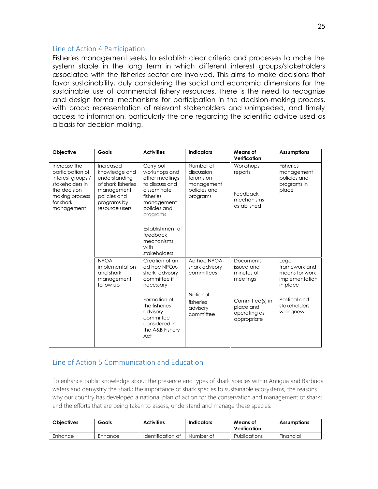#### Line of Action 4 Participation

Fisheries management seeks to establish clear criteria and processes to make the system stable in the long term in which different interest groups/stakeholders associated with the fisheries sector are involved. This aims to make decisions that favor sustainability, duly considering the social and economic dimensions for the sustainable use of commercial fishery resources. There is the need to recognize and design formal mechanisms for participation in the decision-making process, with broad representation of relevant stakeholders and unimpeded, and timely access to information, particularly the one regarding the scientific advice used as a basis for decision making.

| Objective                                                                                                                             | Goals                                                                                                                            | <b>Activities</b>                                                                                                                                                                                          | <b>Indicators</b>                                                              | Means of<br>Verification                                      | <b>Assumptions</b>                                                     |
|---------------------------------------------------------------------------------------------------------------------------------------|----------------------------------------------------------------------------------------------------------------------------------|------------------------------------------------------------------------------------------------------------------------------------------------------------------------------------------------------------|--------------------------------------------------------------------------------|---------------------------------------------------------------|------------------------------------------------------------------------|
| Increase the<br>participation of<br>interest groups /<br>stakeholders in<br>the decision<br>making process<br>for shark<br>management | Increased<br>knowledge and<br>understanding<br>of shark fisheries<br>management<br>policies and<br>programs by<br>resource users | Carry out<br>workshops and<br>other meetings<br>to discuss and<br>disseminate<br>fisheries<br>management<br>policies and<br>programs<br>Establishment of<br>feedback<br>mechanisms<br>with<br>stakeholders | Number of<br>discussion<br>forums on<br>management<br>policies and<br>programs | Workshops<br>reports<br>Feedback<br>mechanisms<br>established | <b>Fisheries</b><br>management<br>policies and<br>programs in<br>place |
|                                                                                                                                       | <b>NPOA</b><br>implementation<br>and shark<br>management<br>follow up                                                            | Creation of an<br>ad hoc NPOA-<br>shark advisory<br>committee if<br>necessary                                                                                                                              | Ad hoc NPOA-<br>shark advisory<br>committees                                   | <b>Documents</b><br>issued and<br>minutes of<br>meetings      | Legal<br>framework and<br>means for work<br>implementation<br>in place |
|                                                                                                                                       |                                                                                                                                  | Formation of<br>the fisheries<br>advisory<br>committee<br>considered in<br>the A&B Fishery<br>Act                                                                                                          | National<br>fisheries<br>advisory<br>committee                                 | Committee(s) in<br>place and<br>operating as<br>appropriate   | Political and<br>stakeholders<br>willingness                           |

#### Line of Action 5 Communication and Education

To enhance public knowledge about the presence and types of shark species within Antigua and Barbuda waters and demystify the shark; the importance of shark species to sustainable ecosystems, the reasons why our country has developed a national plan of action for the conservation and management of sharks, and the efforts that are being taken to assess, understand and manage these species.

| <b>Objectives</b> | Goals   | <b>Activities</b> | Indicators | Means of<br>Verification | <b>Assumptions</b> |
|-------------------|---------|-------------------|------------|--------------------------|--------------------|
| Enhance           | Enhance | Identification of | Number of  | <b>Publications</b>      | <b>Financial</b>   |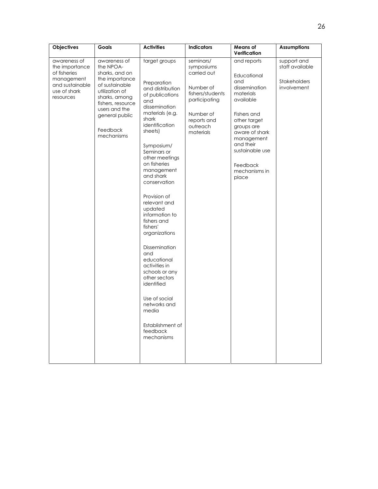| Objectives                                                                                                   | Goals                                                                                                                                                                                                | <b>Activities</b>                                                                                                                                                                                                                                                                                                                                                                                                                                                                                                                                                        | <b>Indicators</b>                                                                                                                             | <b>Means of</b><br>Verification                                                                                                                                                                                                 | <b>Assumptions</b>                                                   |
|--------------------------------------------------------------------------------------------------------------|------------------------------------------------------------------------------------------------------------------------------------------------------------------------------------------------------|--------------------------------------------------------------------------------------------------------------------------------------------------------------------------------------------------------------------------------------------------------------------------------------------------------------------------------------------------------------------------------------------------------------------------------------------------------------------------------------------------------------------------------------------------------------------------|-----------------------------------------------------------------------------------------------------------------------------------------------|---------------------------------------------------------------------------------------------------------------------------------------------------------------------------------------------------------------------------------|----------------------------------------------------------------------|
| awareness of<br>the importance<br>of fisheries<br>management<br>and sustainable<br>use of shark<br>resources | awareness of<br>the NPOA-<br>sharks, and on<br>the importance<br>of sustainable<br>utilization of<br>sharks, among<br>fishers, resource<br>users and the<br>general public<br>Feedback<br>mechanisms | target groups<br>Preparation<br>and distribution<br>of publications<br>and<br>dissemination<br>materials (e.g.<br>shark<br>identification<br>sheets)<br>Symposium/<br>Seminars or<br>other meetings<br>on fisheries<br>management<br>and shark<br>conservation<br>Provision of<br>relevant and<br>updated<br>information to<br>fishers and<br>fishers'<br>organizations<br>Dissemination<br>and<br>educational<br>activities in<br>schools or any<br>other sectors<br>identified<br>Use of social<br>networks and<br>media<br>Establishment of<br>feedback<br>mechanisms | seminars/<br>symposiums<br>carried out<br>Number of<br>fishers/students<br>participating<br>Number of<br>reports and<br>outreach<br>materials | and reports<br>Educational<br>and<br>dissemination<br>materials<br>available<br>Fishers and<br>other target<br>groups are<br>aware of shark<br>management<br>and their<br>sustainable use<br>Feedback<br>mechanisms in<br>place | support and<br>staff available<br><b>Stakeholders</b><br>involvement |